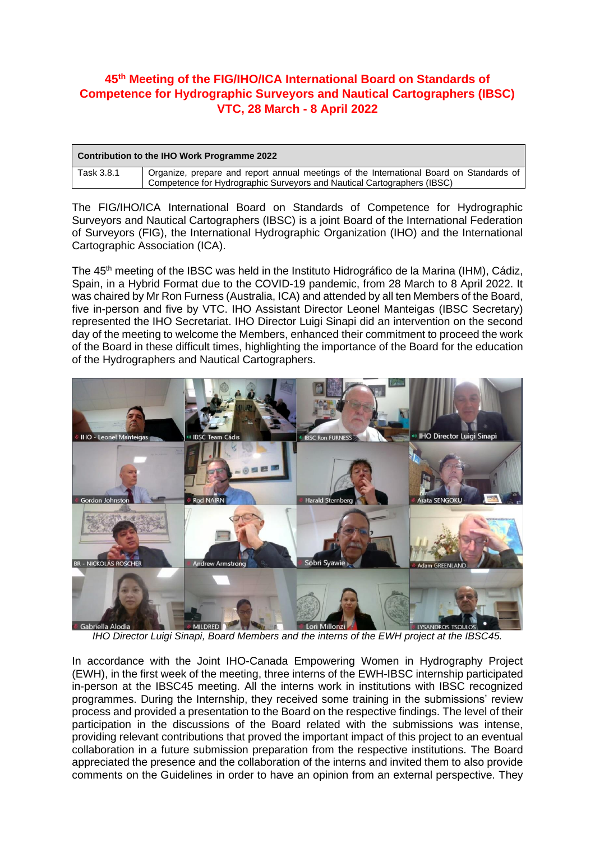## **45 th Meeting of the FIG/IHO/ICA International Board on Standards of Competence for Hydrographic Surveyors and Nautical Cartographers (IBSC) VTC, 28 March - 8 April 2022**

| Contribution to the IHO Work Programme 2022 |                                                                                                                                                                    |
|---------------------------------------------|--------------------------------------------------------------------------------------------------------------------------------------------------------------------|
| Task 3.8.1                                  | Organize, prepare and report annual meetings of the International Board on Standards of<br>Competence for Hydrographic Surveyors and Nautical Cartographers (IBSC) |

The FIG/IHO/ICA International Board on Standards of Competence for Hydrographic Surveyors and Nautical Cartographers (IBSC) is a joint Board of the International Federation of Surveyors (FIG), the International Hydrographic Organization (IHO) and the International Cartographic Association (ICA).

The 45<sup>th</sup> meeting of the IBSC was held in the Instituto Hidrográfico de la Marina (IHM), Cádiz, Spain, in a Hybrid Format due to the COVID-19 pandemic, from 28 March to 8 April 2022. It was chaired by Mr Ron Furness (Australia, ICA) and attended by all ten Members of the Board, five in-person and five by VTC. IHO Assistant Director Leonel Manteigas (IBSC Secretary) represented the IHO Secretariat. IHO Director Luigi Sinapi did an intervention on the second day of the meeting to welcome the Members, enhanced their commitment to proceed the work of the Board in these difficult times, highlighting the importance of the Board for the education of the Hydrographers and Nautical Cartographers.



*IHO Director Luigi Sinapi, Board Members and the interns of the EWH project at the IBSC45.*

In accordance with the Joint IHO-Canada Empowering Women in Hydrography Project (EWH), in the first week of the meeting, three interns of the EWH-IBSC internship participated in-person at the IBSC45 meeting. All the interns work in institutions with IBSC recognized programmes. During the Internship, they received some training in the submissions' review process and provided a presentation to the Board on the respective findings. The level of their participation in the discussions of the Board related with the submissions was intense, providing relevant contributions that proved the important impact of this project to an eventual collaboration in a future submission preparation from the respective institutions. The Board appreciated the presence and the collaboration of the interns and invited them to also provide comments on the Guidelines in order to have an opinion from an external perspective. They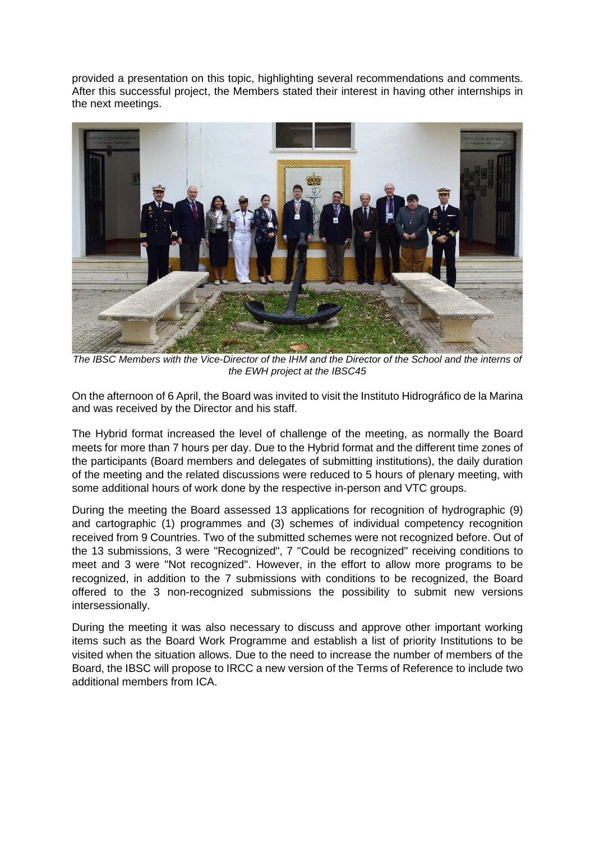provided a presentation on this topic, highlighting several recommendations and comments. After this successful project, the Members stated their interest in having other internships in the next meetings.



*The IBSC Members with the Vice-Director of the IHM and the Director of the School and the interns of the EWH project at the IBSC45*

On the afternoon of 6 April, the Board was invited to visit the Instituto Hidrográfico de la Marina and was received by the Director and his staff.

The Hybrid format increased the level of challenge of the meeting, as normally the Board meets for more than 7 hours per day. Due to the Hybrid format and the different time zones of the participants (Board members and delegates of submitting institutions), the daily duration of the meeting and the related discussions were reduced to 5 hours of plenary meeting, with some additional hours of work done by the respective in-person and VTC groups.

During the meeting the Board assessed 13 applications for recognition of hydrographic (9) and cartographic (1) programmes and (3) schemes of individual competency recognition received from 9 Countries. Two of the submitted schemes were not recognized before. Out of the 13 submissions, 3 were "Recognized", 7 "Could be recognized" receiving conditions to meet and 3 were "Not recognized". However, in the effort to allow more programs to be recognized, in addition to the 7 submissions with conditions to be recognized, the Board offered to the 3 non-recognized submissions the possibility to submit new versions intersessionally.

During the meeting it was also necessary to discuss and approve other important working items such as the Board Work Programme and establish a list of priority Institutions to be visited when the situation allows. Due to the need to increase the number of members of the Board, the IBSC will propose to IRCC a new version of the Terms of Reference to include two additional members from ICA.